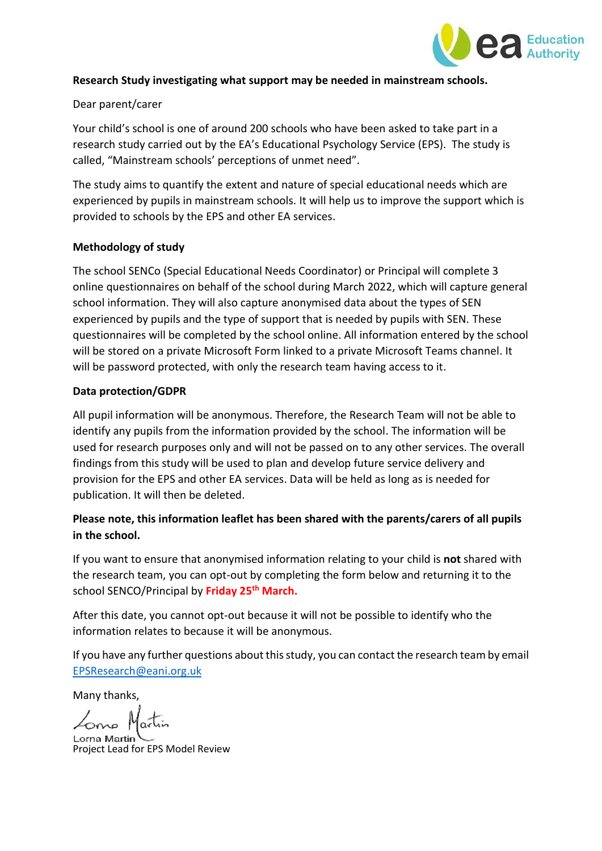

## **Research Study investigating what support may be needed in mainstream schools.**

#### Dear parent/carer

Your child's school is one of around 200 schools who have been asked to take part in a research study carried out by the EA's Educational Psychology Service (EPS). The study is called, "Mainstream schools' perceptions of unmet need".

The study aims to quantify the extent and nature of special educational needs which are experienced by pupils in mainstream schools. It will help us to improve the support which is provided to schools by the EPS and other EA services.

#### **Methodology of study**

The school SENCo (Special Educational Needs Coordinator) or Principal will complete 3 online questionnaires on behalf of the school during March 2022, which will capture general school information. They will also capture anonymised data about the types of SEN experienced by pupils and the type of support that is needed by pupils with SEN. These questionnaires will be completed by the school online. All information entered by the school will be stored on a private Microsoft Form linked to a private Microsoft Teams channel. It will be password protected, with only the research team having access to it.

## **Data protection/GDPR**

All pupil information will be anonymous. Therefore, the Research Team will not be able to identify any pupils from the information provided by the school. The information will be used for research purposes only and will not be passed on to any other services. The overall findings from this study will be used to plan and develop future service delivery and provision for the EPS and other EA services. Data will be held as long as is needed for publication. It will then be deleted.

# **Please note, this information leaflet has been shared with the parents/carers of all pupils in the school.**

If you want to ensure that anonymised information relating to your child is **not** shared with the research team, you can opt-out by completing the form below and returning it to the school SENCO/Principal by **Friday 25th March.** 

After this date, you cannot opt-out because it will not be possible to identify who the information relates to because it will be anonymous.

If you have any further questions about this study, you can contact the research team by email [EPSResearch@eani.org.uk](mailto:EPSResearch@eani.org.uk)

Many thanks,

Zono Mai

Lorna Martini Project Lead for EPS Model Review